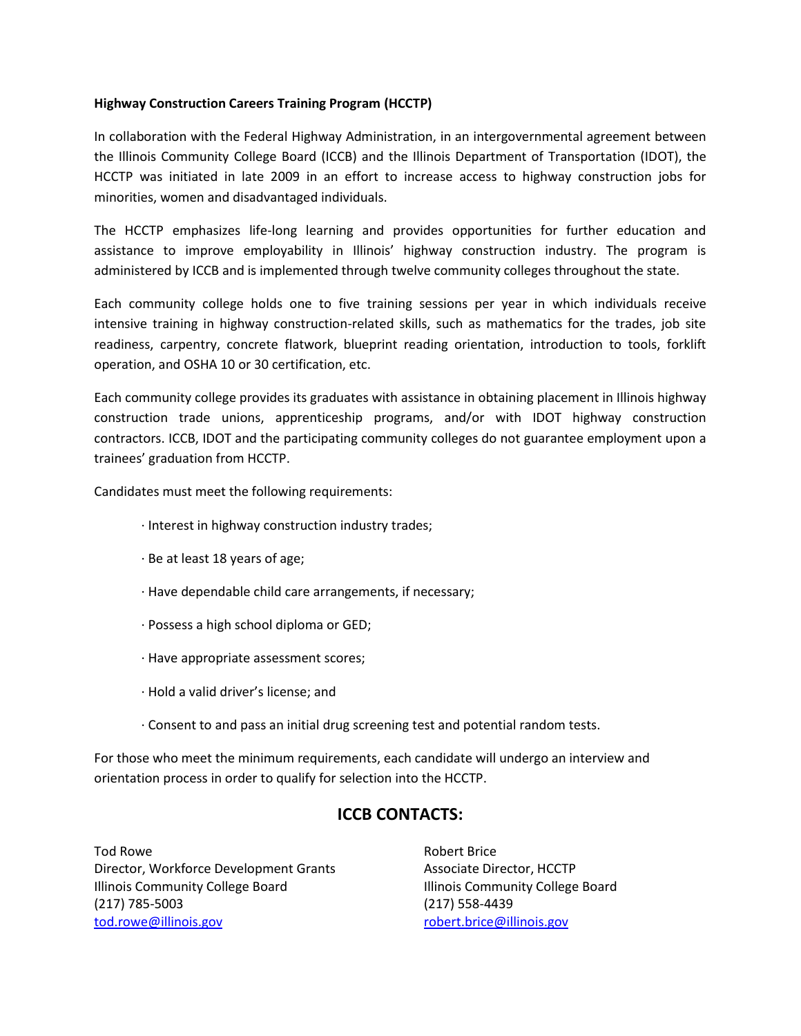## **Highway Construction Careers Training Program (HCCTP)**

In collaboration with the Federal Highway Administration, in an intergovernmental agreement between the Illinois Community College Board (ICCB) and the Illinois Department of Transportation (IDOT), the HCCTP was initiated in late 2009 in an effort to increase access to highway construction jobs for minorities, women and disadvantaged individuals.

The HCCTP emphasizes life-long learning and provides opportunities for further education and assistance to improve employability in Illinois' highway construction industry. The program is administered by ICCB and is implemented through twelve community colleges throughout the state.

Each community college holds one to five training sessions per year in which individuals receive intensive training in highway construction-related skills, such as mathematics for the trades, job site readiness, carpentry, concrete flatwork, blueprint reading orientation, introduction to tools, forklift operation, and OSHA 10 or 30 certification, etc.

Each community college provides its graduates with assistance in obtaining placement in Illinois highway construction trade unions, apprenticeship programs, and/or with IDOT highway construction contractors. ICCB, IDOT and the participating community colleges do not guarantee employment upon a trainees' graduation from HCCTP.

Candidates must meet the following requirements:

- · Interest in highway construction industry trades;
- · Be at least 18 years of age;
- · Have dependable child care arrangements, if necessary;
- · Possess a high school diploma or GED;
- · Have appropriate assessment scores;
- · Hold a valid driver's license; and
- · Consent to and pass an initial drug screening test and potential random tests.

For those who meet the minimum requirements, each candidate will undergo an interview and orientation process in order to qualify for selection into the HCCTP.

## **ICCB CONTACTS:**

Tod Rowe Director, Workforce Development Grants Illinois Community College Board (217) 785-5003 [tod.rowe@illinois.gov](mailto:tod.rowe@illinois.gov) 

Robert Brice Associate Director, HCCTP Illinois Community College Board (217) 558-4439 [robert.brice@illinois.gov](mailto:robert.brice@illinois.gov)